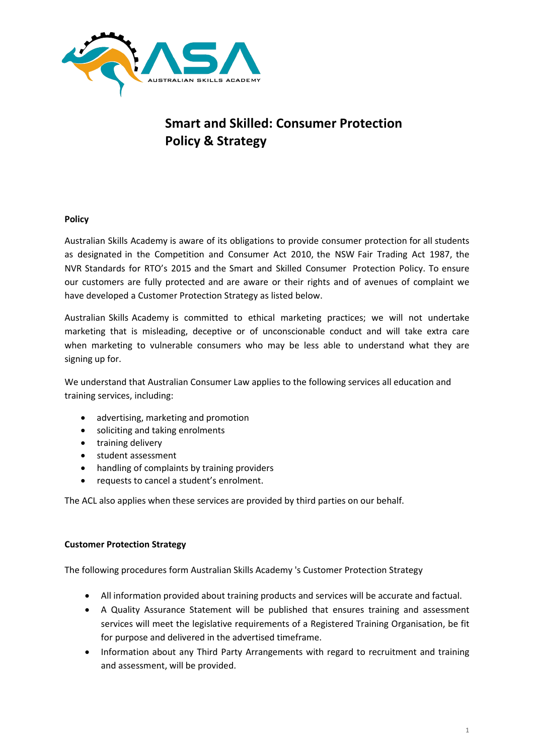

## **Smart and Skilled: Consumer Protection Policy & Strategy**

## **Policy**

Australian Skills Academy is aware of its obligations to provide consumer protection for all students as designated in the Competition and Consumer Act 2010, the NSW Fair Trading Act 1987, the NVR Standards for RTO's 2015 and the Smart and Skilled Consumer Protection Policy. To ensure our customers are fully protected and are aware or their rights and of avenues of complaint we have developed a Customer Protection Strategy as listed below.

Australian Skills Academy is committed to ethical marketing practices; we will not undertake marketing that is misleading, deceptive or of unconscionable conduct and will take extra care when marketing to vulnerable consumers who may be less able to understand what they are signing up for.

We understand that Australian Consumer Law applies to the following services all education and training services, including:

- advertising, marketing and promotion
- soliciting and taking enrolments
- training delivery
- student assessment
- handling of complaints by training providers
- requests to cancel a student's enrolment.

The ACL also applies when these services are provided by third parties on our behalf.

## **Customer Protection Strategy**

The following procedures form Australian Skills Academy 's Customer Protection Strategy

- All information provided about training products and services will be accurate and factual.
- A Quality Assurance Statement will be published that ensures training and assessment services will meet the legislative requirements of a Registered Training Organisation, be fit for purpose and delivered in the advertised timeframe.
- Information about any Third Party Arrangements with regard to recruitment and training and assessment, will be provided.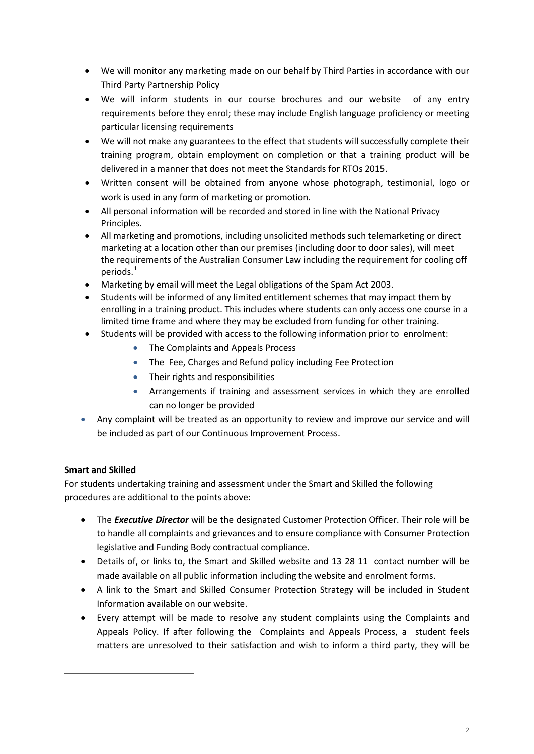- We will monitor any marketing made on our behalf by Third Parties in accordance with our Third Party Partnership Policy
- We will inform students in our course brochures and our website of any entry requirements before they enrol; these may include English language proficiency or meeting particular licensing requirements
- We will not make any guarantees to the effect that students will successfully complete their training program, obtain employment on completion or that a training product will be delivered in a manner that does not meet the Standards for RTOs 2015.
- Written consent will be obtained from anyone whose photograph, testimonial, logo or work is used in any form of marketing or promotion.
- All personal information will be recorded and stored in line with the National Privacy Principles.
- All marketing and promotions, including unsolicited methods such telemarketing or direct marketing at a location other than our premises (including door to door sales), will meet the requirements of the Australian Consumer Law including the requirement for cooling off periods. [1](#page-1-0)
- Marketing by email will meet the Legal obligations of the Spam Act 2003.
- Students will be informed of any limited entitlement schemes that may impact them by enrolling in a training product. This includes where students can only access one course in a limited time frame and where they may be excluded from funding for other training.
- Students will be provided with access to the following information prior to enrolment:
	- The Complaints and Appeals Process
	- The Fee, Charges and Refund policy including Fee Protection
	- Their rights and responsibilities
	- Arrangements if training and assessment services in which they are enrolled can no longer be provided
- Any complaint will be treated as an opportunity to review and improve our service and will be included as part of our Continuous Improvement Process.

## **Smart and Skilled**

For students undertaking training and assessment under the Smart and Skilled the following procedures are additional to the points above:

- The *Executive Director* will be the designated Customer Protection Officer. Their role will be to handle all complaints and grievances and to ensure compliance with Consumer Protection legislative and Funding Body contractual compliance.
- Details of, or links to, the Smart and Skilled website and 13 28 11 contact number will be made available on all public information including the website and enrolment forms.
- A link to the Smart and Skilled Consumer Protection Strategy will be included in Student Information available on our website.
- <span id="page-1-0"></span>• Every attempt will be made to resolve any student complaints using the Complaints and Appeals Policy. If after following the Complaints and Appeals Process, a student feels matters are unresolved to their satisfaction and wish to inform a third party, they will be